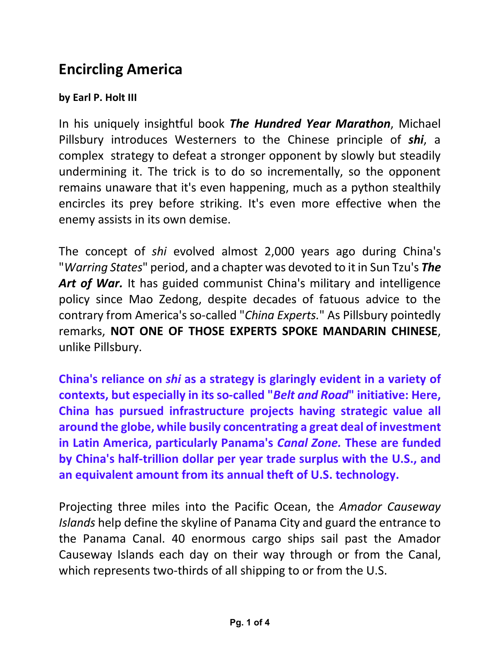## **Encircling America**

## **by Earl P. Holt III**

In his uniquely insightful book *The Hundred Year Marathon*, Michael Pillsbury introduces Westerners to the Chinese principle of *shi*, a complex strategy to defeat a stronger opponent by slowly but steadily undermining it. The trick is to do so incrementally, so the opponent remains unaware that it's even happening, much as a python stealthily encircles its prey before striking. It's even more effective when the enemy assists in its own demise.

The concept of *shi* evolved almost 2,000 years ago during China's "*Warring States*" period, and a chapter was devoted to it in Sun Tzu's *The*  Art of War. It has guided communist China's military and intelligence policy since Mao Zedong, despite decades of fatuous advice to the contrary from America's so-called "*China Experts.*" As Pillsbury pointedly remarks, **NOT ONE OF THOSE EXPERTS SPOKE MANDARIN CHINESE**, unlike Pillsbury.

**China's reliance on** *shi* **as a strategy is glaringly evident in a variety of contexts, but especially in its so-called "***Belt and Road***" initiative: Here, China has pursued infrastructure projects having strategic value all around the globe, while busily concentrating a great deal of investment in Latin America, particularly Panama's** *Canal Zone.* **These are funded by China's half-trillion dollar per year trade surplus with the U.S., and an equivalent amount from its annual theft of U.S. technology.** 

Projecting three miles into the Pacific Ocean, the *Amador Causeway Islands* help define the skyline of Panama City and guard the entrance to the Panama Canal. 40 enormous cargo ships sail past the Amador Causeway Islands each day on their way through or from the Canal, which represents two-thirds of all shipping to or from the U.S.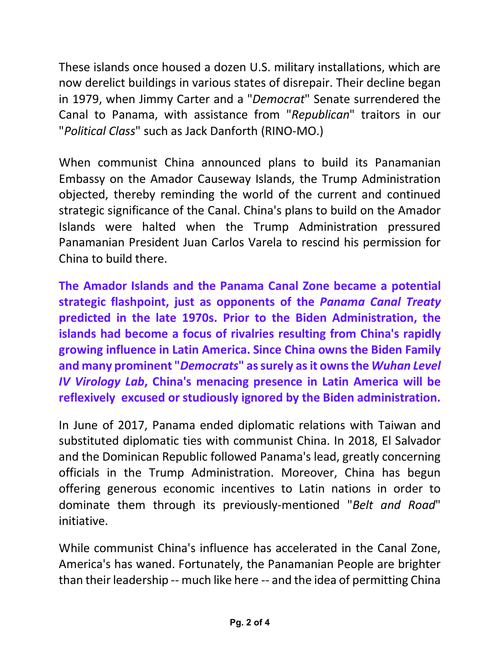These islands once housed a dozen U.S. military installations, which are now derelict buildings in various states of disrepair. Their decline began in 1979, when Jimmy Carter and a "*Democrat*" Senate surrendered the Canal to Panama, with assistance from "*Republican*" traitors in our "*Political Class*" such as Jack Danforth (RINO-MO.)

When communist China announced plans to build its Panamanian Embassy on the Amador Causeway Islands, the Trump Administration objected, thereby reminding the world of the current and continued strategic significance of the Canal. China's plans to build on the Amador Islands were halted when the Trump Administration pressured Panamanian President Juan Carlos Varela to rescind his permission for China to build there.

**The Amador Islands and the Panama Canal Zone became a potential strategic flashpoint, just as opponents of the** *Panama Canal Treaty* **predicted in the late 1970s. Prior to the Biden Administration, the islands had become a focus of rivalries resulting from China's rapidly growing influence in Latin America. Since China owns the Biden Family and many prominent "***Democrats***" as surely as it owns the** *Wuhan Level IV Virology Lab***, China's menacing presence in Latin America will be reflexively excused or studiously ignored by the Biden administration.** 

In June of 2017, Panama ended diplomatic relations with Taiwan and substituted diplomatic ties with communist China. In 2018, El Salvador and the Dominican Republic followed Panama's lead, greatly concerning officials in the Trump Administration. Moreover, China has begun offering generous economic incentives to Latin nations in order to dominate them through its previously-mentioned "*Belt and Road*" initiative.

While communist China's influence has accelerated in the Canal Zone, America's has waned. Fortunately, the Panamanian People are brighter than their leadership -- much like here -- and the idea of permitting China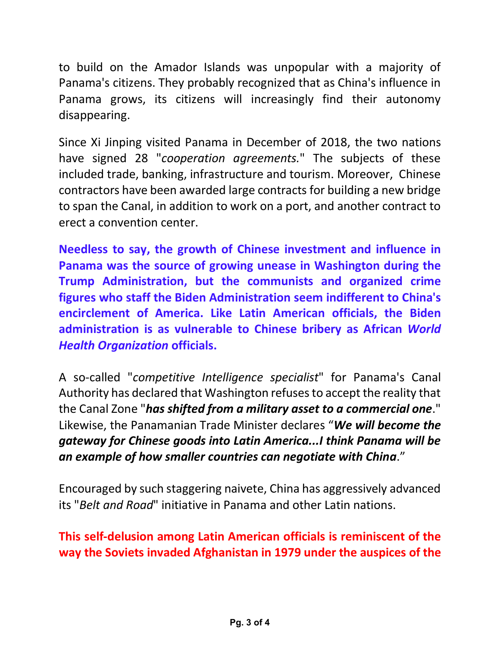to build on the Amador Islands was unpopular with a majority of Panama's citizens. They probably recognized that as China's influence in Panama grows, its citizens will increasingly find their autonomy disappearing.

Since Xi Jinping visited Panama in December of 2018, the two nations have signed 28 "*cooperation agreements.*" The subjects of these included trade, banking, infrastructure and tourism. Moreover, Chinese contractors have been awarded large contracts for building a new bridge to span the Canal, in addition to work on a port, and another contract to erect a convention center.

**Needless to say, the growth of Chinese investment and influence in Panama was the source of growing unease in Washington during the Trump Administration, but the communists and organized crime figures who staff the Biden Administration seem indifferent to China's encirclement of America. Like Latin American officials, the Biden administration is as vulnerable to Chinese bribery as African** *World Health Organization* **officials.**

A so-called "*competitive Intelligence specialist*" for Panama's Canal Authority has declared that Washington refuses to accept the reality that the Canal Zone "*has shifted from a military asset to a commercial one*." Likewise, the Panamanian Trade Minister declares "*We will become the gateway for Chinese goods into Latin America...I think Panama will be an example of how smaller countries can negotiate with China*."

Encouraged by such staggering naivete, China has aggressively advanced its "*Belt and Road*" initiative in Panama and other Latin nations.

**This self-delusion among Latin American officials is reminiscent of the way the Soviets invaded Afghanistan in 1979 under the auspices of the**